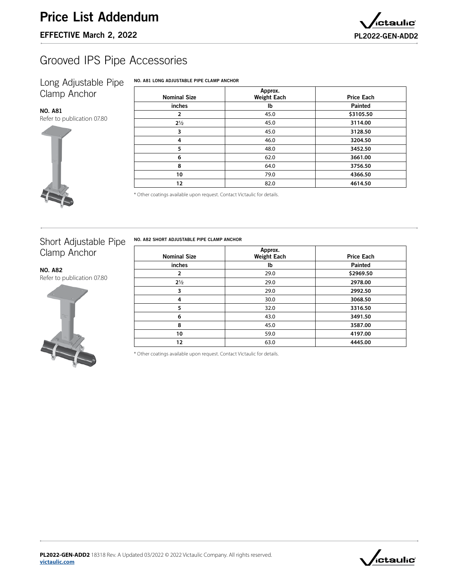

# Grooved IPS Pipe Accessories

### Long Adjustable Pipe Clamp Anchor

#### NO. A81 LONG ADJUSTABLE PIPE CLAMP ANCHOR

| <b>NO. A81</b>             |
|----------------------------|
| Refer to publication 07.80 |



NO. A82

| <b>Nominal Size</b> | Approx.<br><b>Weight Each</b> | <b>Price Each</b> |
|---------------------|-------------------------------|-------------------|
| inches              | Ib                            | <b>Painted</b>    |
| $\overline{2}$      | 45.0                          | \$3105.50         |
| $2\frac{1}{2}$      | 45.0                          | 3114.00           |
| 3                   | 45.0                          | 3128.50           |
| 4                   | 46.0                          | 3204.50           |
| 5                   | 48.0                          | 3452.50           |
| 6                   | 62.0                          | 3661.00           |
| 8                   | 64.0                          | 3756.50           |
| 10                  | 79.0                          | 4366.50           |
| 12                  | 82.0                          | 4614.50           |

\* Other coatings available upon request. Contact Victaulic for details.

## Short Adjustable Pipe Clamp Anchor

[Refer to publication 07.8](http://www.victaulic.com/assets/uploads/literature/07.80.pdf)0

NO. A82 SHORT ADJUSTABLE PIPE CLAMP ANCHOR

| <b>Nominal Size</b> | Approx.<br><b>Weight Each</b> | <b>Price Each</b> |  |  |
|---------------------|-------------------------------|-------------------|--|--|
| inches              | Ib                            | <b>Painted</b>    |  |  |
| 2                   | 29.0                          | \$2969.50         |  |  |
| $2\frac{1}{2}$      | 29.0                          | 2978.00           |  |  |
| 3                   | 29.0                          | 2992.50           |  |  |
| 4                   | 30.0                          | 3068.50           |  |  |
| 5                   | 32.0                          | 3316.50           |  |  |
| 6                   | 43.0                          | 3491.50           |  |  |
| 8                   | 45.0                          | 3587.00           |  |  |
| 10                  | 59.0                          | 4197.00           |  |  |
| 12                  | 63.0                          | 4445.00           |  |  |

\* Other coatings available upon request. Contact Victaulic for details.